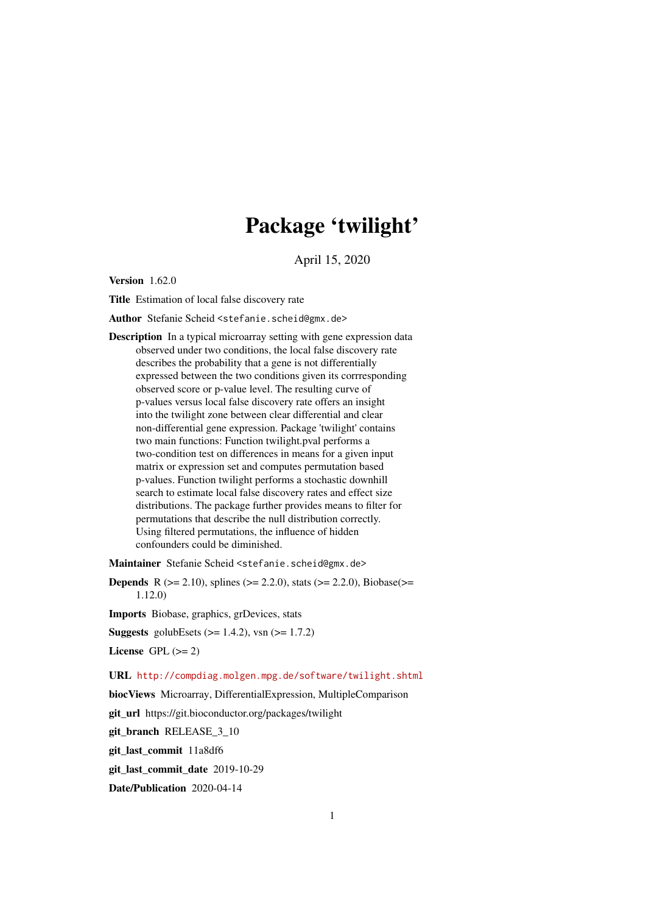# Package 'twilight'

April 15, 2020

Version 1.62.0

Title Estimation of local false discovery rate

Author Stefanie Scheid <stefanie.scheid@gmx.de>

Description In a typical microarray setting with gene expression data observed under two conditions, the local false discovery rate describes the probability that a gene is not differentially expressed between the two conditions given its corrresponding observed score or p-value level. The resulting curve of p-values versus local false discovery rate offers an insight into the twilight zone between clear differential and clear non-differential gene expression. Package 'twilight' contains two main functions: Function twilight.pval performs a two-condition test on differences in means for a given input matrix or expression set and computes permutation based p-values. Function twilight performs a stochastic downhill search to estimate local false discovery rates and effect size distributions. The package further provides means to filter for permutations that describe the null distribution correctly. Using filtered permutations, the influence of hidden confounders could be diminished.

Maintainer Stefanie Scheid <stefanie.scheid@gmx.de>

**Depends** R ( $>= 2.10$ ), splines ( $>= 2.2.0$ ), stats ( $>= 2.2.0$ ), Biobase( $>=$ 1.12.0)

Imports Biobase, graphics, grDevices, stats

**Suggests** golubEsets  $(>= 1.4.2)$ , vsn  $(>= 1.7.2)$ 

License GPL  $(>= 2)$ 

URL <http://compdiag.molgen.mpg.de/software/twilight.shtml>

biocViews Microarray, DifferentialExpression, MultipleComparison

git\_url https://git.bioconductor.org/packages/twilight

git\_branch RELEASE\_3\_10

git\_last\_commit 11a8df6

git\_last\_commit\_date 2019-10-29

Date/Publication 2020-04-14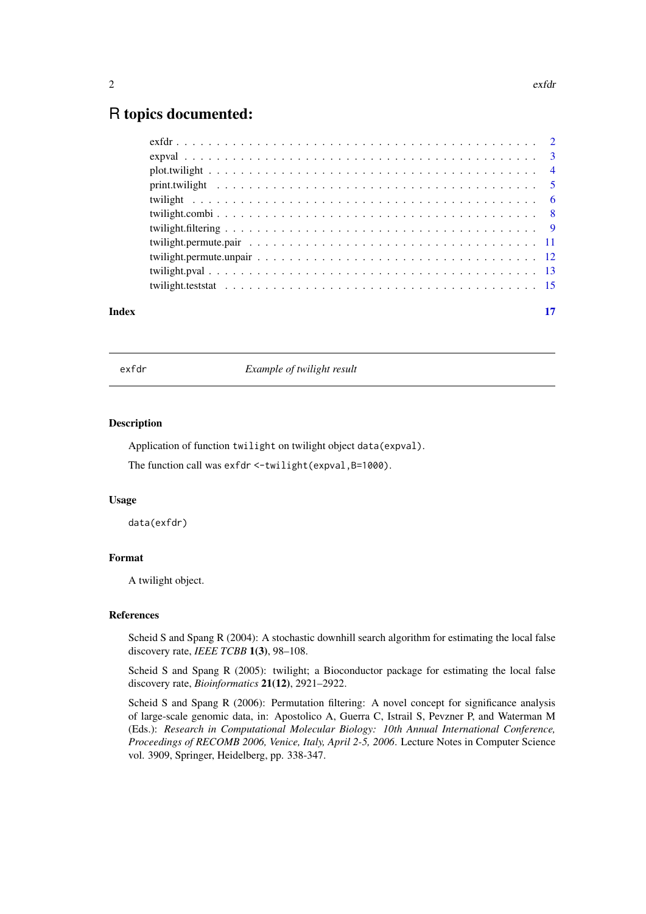# <span id="page-1-0"></span>R topics documented:

| Index | 17 |
|-------|----|
|       |    |
|       |    |
|       |    |
|       |    |
|       |    |
|       |    |
|       |    |
|       |    |
|       |    |
|       |    |
|       |    |

<span id="page-1-1"></span>

exfdr *Example of twilight result*

# Description

Application of function twilight on twilight object data(expval).

The function call was exfdr <-twilight(expval, B=1000).

# Usage

data(exfdr)

# Format

A twilight object.

# References

Scheid S and Spang R (2004): A stochastic downhill search algorithm for estimating the local false discovery rate, *IEEE TCBB* 1(3), 98–108.

Scheid S and Spang R (2005): twilight; a Bioconductor package for estimating the local false discovery rate, *Bioinformatics* 21(12), 2921–2922.

Scheid S and Spang R (2006): Permutation filtering: A novel concept for significance analysis of large-scale genomic data, in: Apostolico A, Guerra C, Istrail S, Pevzner P, and Waterman M (Eds.): *Research in Computational Molecular Biology: 10th Annual International Conference, Proceedings of RECOMB 2006, Venice, Italy, April 2-5, 2006*. Lecture Notes in Computer Science vol. 3909, Springer, Heidelberg, pp. 338-347.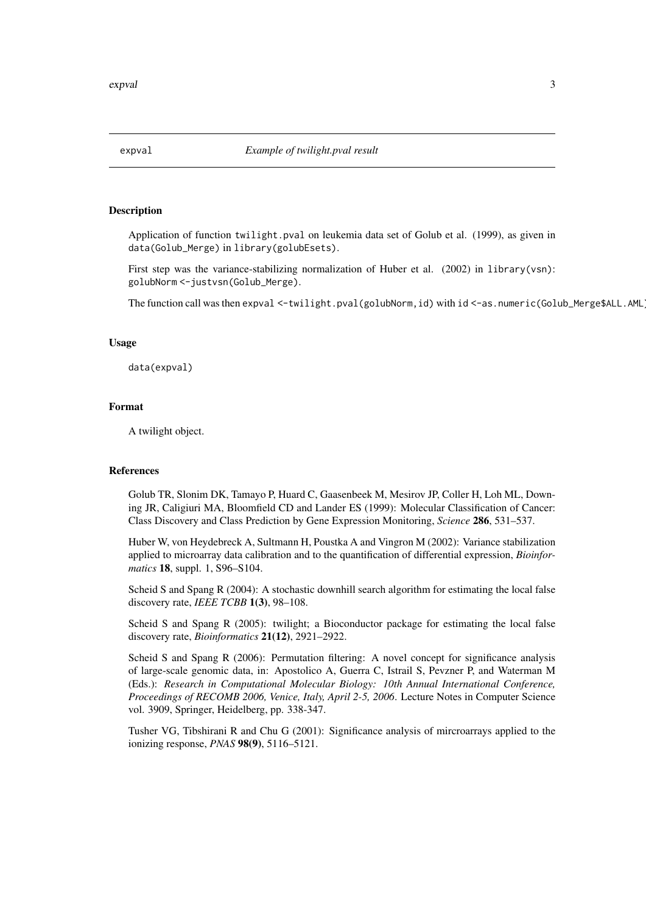<span id="page-2-1"></span><span id="page-2-0"></span>

# **Description**

Application of function twilight.pval on leukemia data set of Golub et al. (1999), as given in data(Golub\_Merge) in library(golubEsets).

First step was the variance-stabilizing normalization of Huber et al. (2002) in library(vsn): golubNorm <-justvsn(Golub\_Merge).

The function call was then expval <-twilight.pval(golubNorm,id) with id <-as.numeric(Golub\_Merge\$ALL.AML

#### Usage

data(expval)

#### Format

A twilight object.

# References

Golub TR, Slonim DK, Tamayo P, Huard C, Gaasenbeek M, Mesirov JP, Coller H, Loh ML, Downing JR, Caligiuri MA, Bloomfield CD and Lander ES (1999): Molecular Classification of Cancer: Class Discovery and Class Prediction by Gene Expression Monitoring, *Science* 286, 531–537.

Huber W, von Heydebreck A, Sultmann H, Poustka A and Vingron M (2002): Variance stabilization applied to microarray data calibration and to the quantification of differential expression, *Bioinformatics* 18, suppl. 1, S96–S104.

Scheid S and Spang R (2004): A stochastic downhill search algorithm for estimating the local false discovery rate, *IEEE TCBB* 1(3), 98–108.

Scheid S and Spang R (2005): twilight; a Bioconductor package for estimating the local false discovery rate, *Bioinformatics* 21(12), 2921–2922.

Scheid S and Spang R (2006): Permutation filtering: A novel concept for significance analysis of large-scale genomic data, in: Apostolico A, Guerra C, Istrail S, Pevzner P, and Waterman M (Eds.): *Research in Computational Molecular Biology: 10th Annual International Conference, Proceedings of RECOMB 2006, Venice, Italy, April 2-5, 2006*. Lecture Notes in Computer Science vol. 3909, Springer, Heidelberg, pp. 338-347.

Tusher VG, Tibshirani R and Chu G (2001): Significance analysis of mircroarrays applied to the ionizing response, *PNAS* 98(9), 5116–5121.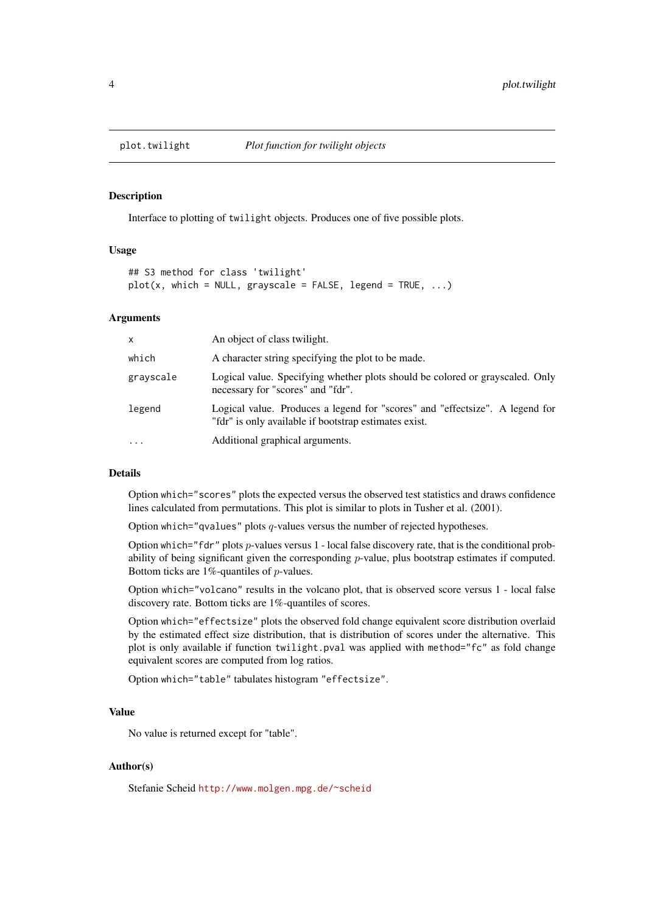<span id="page-3-1"></span><span id="page-3-0"></span>

# Description

Interface to plotting of twilight objects. Produces one of five possible plots.

# Usage

```
## S3 method for class 'twilight'
plot(x, which = NULL, grayscale = FALSE, legend = TRUE, ...)
```
# Arguments

| $\mathsf{x}$ | An object of class twilight.                                                                                                          |
|--------------|---------------------------------------------------------------------------------------------------------------------------------------|
| which        | A character string specifying the plot to be made.                                                                                    |
| grayscale    | Logical value. Specifying whether plots should be colored or grayscaled. Only<br>necessary for "scores" and "fdr".                    |
| legend       | Logical value. Produces a legend for "scores" and "effectsize". A legend for<br>"fdr" is only available if bootstrap estimates exist. |
| .            | Additional graphical arguments.                                                                                                       |

# Details

Option which="scores" plots the expected versus the observed test statistics and draws confidence lines calculated from permutations. This plot is similar to plots in Tusher et al. (2001).

Option which="qvalues" plots  $q$ -values versus the number of rejected hypotheses.

Option which="fdr" plots p-values versus 1 - local false discovery rate, that is the conditional probability of being significant given the corresponding p-value, plus bootstrap estimates if computed. Bottom ticks are 1%-quantiles of p-values.

Option which="volcano" results in the volcano plot, that is observed score versus 1 - local false discovery rate. Bottom ticks are 1%-quantiles of scores.

Option which="effectsize" plots the observed fold change equivalent score distribution overlaid by the estimated effect size distribution, that is distribution of scores under the alternative. This plot is only available if function twilight.pval was applied with method="fc" as fold change equivalent scores are computed from log ratios.

Option which="table" tabulates histogram "effectsize".

#### Value

No value is returned except for "table".

# Author(s)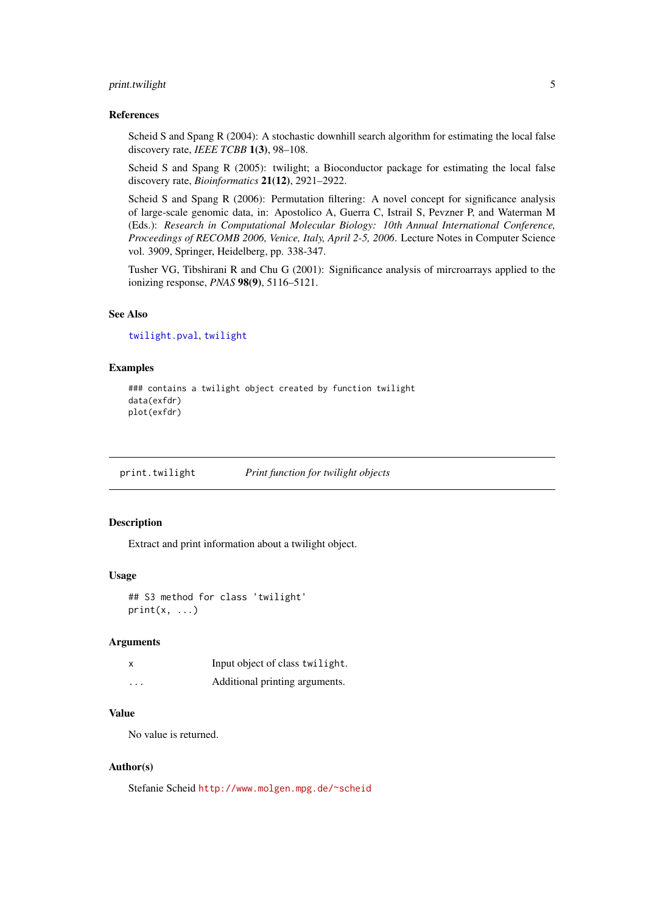#### <span id="page-4-0"></span>print.twilight 5

#### References

Scheid S and Spang R (2004): A stochastic downhill search algorithm for estimating the local false discovery rate, *IEEE TCBB* 1(3), 98–108.

Scheid S and Spang R (2005): twilight; a Bioconductor package for estimating the local false discovery rate, *Bioinformatics* 21(12), 2921–2922.

Scheid S and Spang R (2006): Permutation filtering: A novel concept for significance analysis of large-scale genomic data, in: Apostolico A, Guerra C, Istrail S, Pevzner P, and Waterman M (Eds.): *Research in Computational Molecular Biology: 10th Annual International Conference, Proceedings of RECOMB 2006, Venice, Italy, April 2-5, 2006*. Lecture Notes in Computer Science vol. 3909, Springer, Heidelberg, pp. 338-347.

Tusher VG, Tibshirani R and Chu G (2001): Significance analysis of mircroarrays applied to the ionizing response, *PNAS* 98(9), 5116–5121.

# See Also

[twilight.pval](#page-12-1), [twilight](#page-5-1)

## Examples

```
### contains a twilight object created by function twilight
data(exfdr)
plot(exfdr)
```
print.twilight *Print function for twilight objects*

# Description

Extract and print information about a twilight object.

# Usage

```
## S3 method for class 'twilight'
print(x, \ldots)
```
## Arguments

| $\boldsymbol{\mathsf{x}}$ | Input object of class twilight. |
|---------------------------|---------------------------------|
| .                         | Additional printing arguments.  |

# Value

No value is returned.

## Author(s)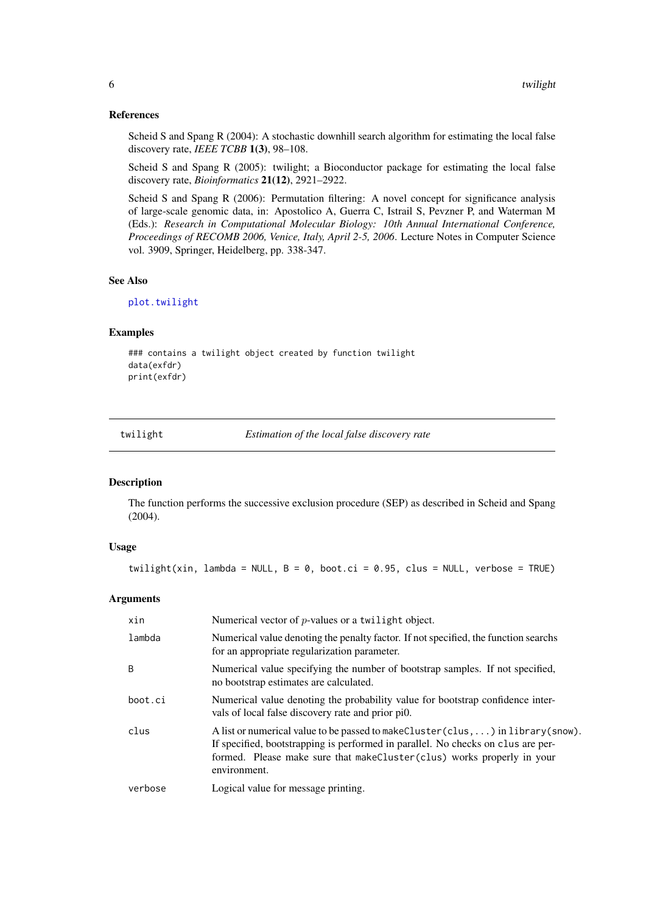#### References

Scheid S and Spang R (2004): A stochastic downhill search algorithm for estimating the local false discovery rate, *IEEE TCBB* 1(3), 98–108.

Scheid S and Spang R (2005): twilight; a Bioconductor package for estimating the local false discovery rate, *Bioinformatics* 21(12), 2921–2922.

Scheid S and Spang R (2006): Permutation filtering: A novel concept for significance analysis of large-scale genomic data, in: Apostolico A, Guerra C, Istrail S, Pevzner P, and Waterman M (Eds.): *Research in Computational Molecular Biology: 10th Annual International Conference, Proceedings of RECOMB 2006, Venice, Italy, April 2-5, 2006*. Lecture Notes in Computer Science vol. 3909, Springer, Heidelberg, pp. 338-347.

# See Also

[plot.twilight](#page-3-1)

#### Examples

```
### contains a twilight object created by function twilight
data(exfdr)
print(exfdr)
```
<span id="page-5-1"></span>twilight *Estimation of the local false discovery rate*

# Description

The function performs the successive exclusion procedure (SEP) as described in Scheid and Spang (2004).

#### Usage

twilight(xin, lambda = NULL,  $B = \emptyset$ , boot.ci = 0.95, clus = NULL, verbose = TRUE)

# Arguments

| xin     | Numerical vector of $p$ -values or a twillight object.                                                                                                                                                                                                           |
|---------|------------------------------------------------------------------------------------------------------------------------------------------------------------------------------------------------------------------------------------------------------------------|
| lambda  | Numerical value denoting the penalty factor. If not specified, the function searchs<br>for an appropriate regularization parameter.                                                                                                                              |
| B       | Numerical value specifying the number of bootstrap samples. If not specified,<br>no bootstrap estimates are calculated.                                                                                                                                          |
| boot.ci | Numerical value denoting the probability value for bootstrap confidence inter-<br>vals of local false discovery rate and prior pio.                                                                                                                              |
| clus    | A list or numerical value to be passed to make Cluster (clus, ) in library (snow).<br>If specified, bootstrapping is performed in parallel. No checks on clus are per-<br>formed. Please make sure that makeCluster(clus) works properly in your<br>environment. |
| verbose | Logical value for message printing.                                                                                                                                                                                                                              |

<span id="page-5-0"></span>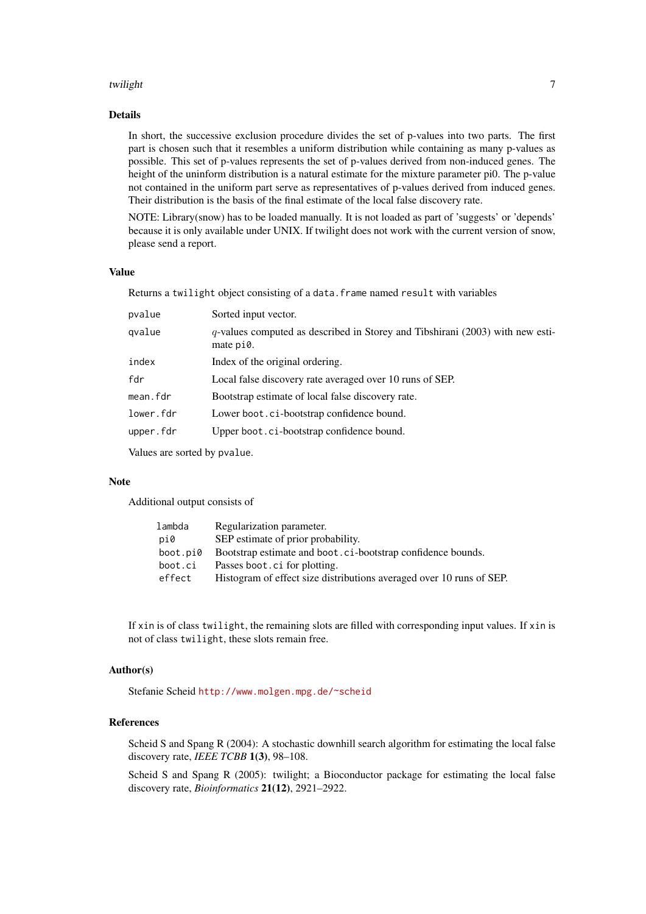#### twilight **7**

# Details

In short, the successive exclusion procedure divides the set of p-values into two parts. The first part is chosen such that it resembles a uniform distribution while containing as many p-values as possible. This set of p-values represents the set of p-values derived from non-induced genes. The height of the uninform distribution is a natural estimate for the mixture parameter pi0. The p-value not contained in the uniform part serve as representatives of p-values derived from induced genes. Their distribution is the basis of the final estimate of the local false discovery rate.

NOTE: Library(snow) has to be loaded manually. It is not loaded as part of 'suggests' or 'depends' because it is only available under UNIX. If twilight does not work with the current version of snow, please send a report.

# Value

Returns a twilight object consisting of a data. frame named result with variables

| pvalue    | Sorted input vector.                                                                          |
|-----------|-----------------------------------------------------------------------------------------------|
| qvalue    | $q$ -values computed as described in Storey and Tibshirani (2003) with new esti-<br>mate pi0. |
| index     | Index of the original ordering.                                                               |
| fdr       | Local false discovery rate averaged over 10 runs of SEP.                                      |
| mean.fdr  | Bootstrap estimate of local false discovery rate.                                             |
| lower.fdr | Lower boot.ci-bootstrap confidence bound.                                                     |
| upper.fdr | Upper boot. ci-bootstrap confidence bound.                                                    |
|           |                                                                                               |

Values are sorted by pvalue.

## Note

Additional output consists of

| Regularization parameter.                                            |
|----------------------------------------------------------------------|
| SEP estimate of prior probability.                                   |
| Bootstrap estimate and boot.ci-bootstrap confidence bounds.          |
| Passes boot. ci for plotting.                                        |
| Histogram of effect size distributions averaged over 10 runs of SEP. |
|                                                                      |

If xin is of class twilight, the remaining slots are filled with corresponding input values. If xin is not of class twilight, these slots remain free.

# Author(s)

Stefanie Scheid <http://www.molgen.mpg.de/~scheid>

# References

Scheid S and Spang R (2004): A stochastic downhill search algorithm for estimating the local false discovery rate, *IEEE TCBB* 1(3), 98–108.

Scheid S and Spang R (2005): twilight; a Bioconductor package for estimating the local false discovery rate, *Bioinformatics* 21(12), 2921–2922.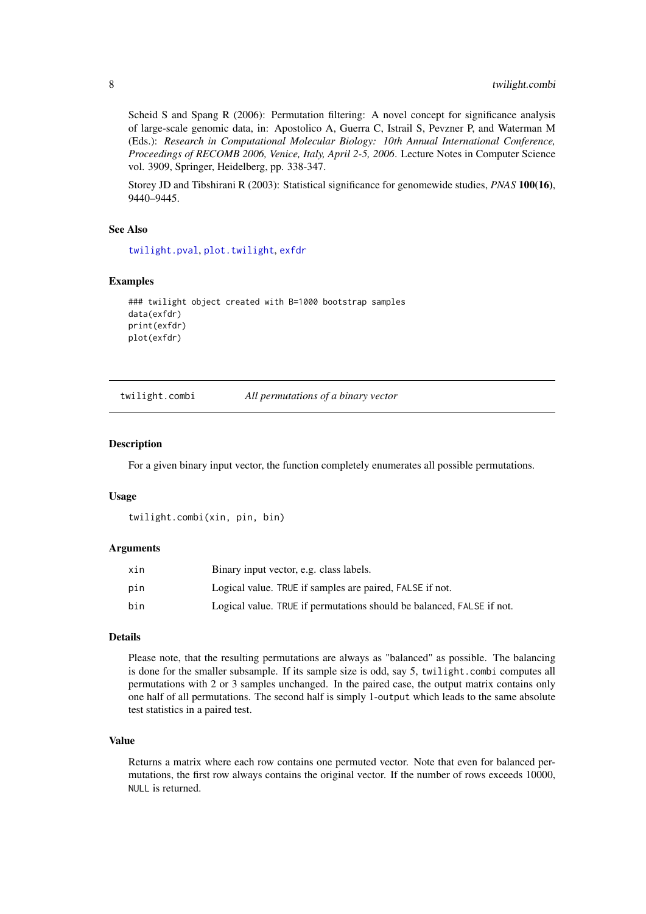Scheid S and Spang R (2006): Permutation filtering: A novel concept for significance analysis of large-scale genomic data, in: Apostolico A, Guerra C, Istrail S, Pevzner P, and Waterman M (Eds.): *Research in Computational Molecular Biology: 10th Annual International Conference, Proceedings of RECOMB 2006, Venice, Italy, April 2-5, 2006*. Lecture Notes in Computer Science vol. 3909, Springer, Heidelberg, pp. 338-347.

Storey JD and Tibshirani R (2003): Statistical significance for genomewide studies, *PNAS* 100(16), 9440–9445.

# See Also

[twilight.pval](#page-12-1), [plot.twilight](#page-3-1), [exfdr](#page-1-1)

# Examples

```
### twilight object created with B=1000 bootstrap samples
data(exfdr)
print(exfdr)
plot(exfdr)
```
<span id="page-7-1"></span>twilight.combi *All permutations of a binary vector*

#### Description

For a given binary input vector, the function completely enumerates all possible permutations.

#### Usage

twilight.combi(xin, pin, bin)

#### Arguments

| xin | Binary input vector, e.g. class labels.                               |
|-----|-----------------------------------------------------------------------|
| pin | Logical value. TRUE if samples are paired, FALSE if not.              |
| bin | Logical value. TRUE if permutations should be balanced, FALSE if not. |

# Details

Please note, that the resulting permutations are always as "balanced" as possible. The balancing is done for the smaller subsample. If its sample size is odd, say 5, twilight.combi computes all permutations with 2 or 3 samples unchanged. In the paired case, the output matrix contains only one half of all permutations. The second half is simply 1-output which leads to the same absolute test statistics in a paired test.

# Value

Returns a matrix where each row contains one permuted vector. Note that even for balanced permutations, the first row always contains the original vector. If the number of rows exceeds 10000, NULL is returned.

<span id="page-7-0"></span>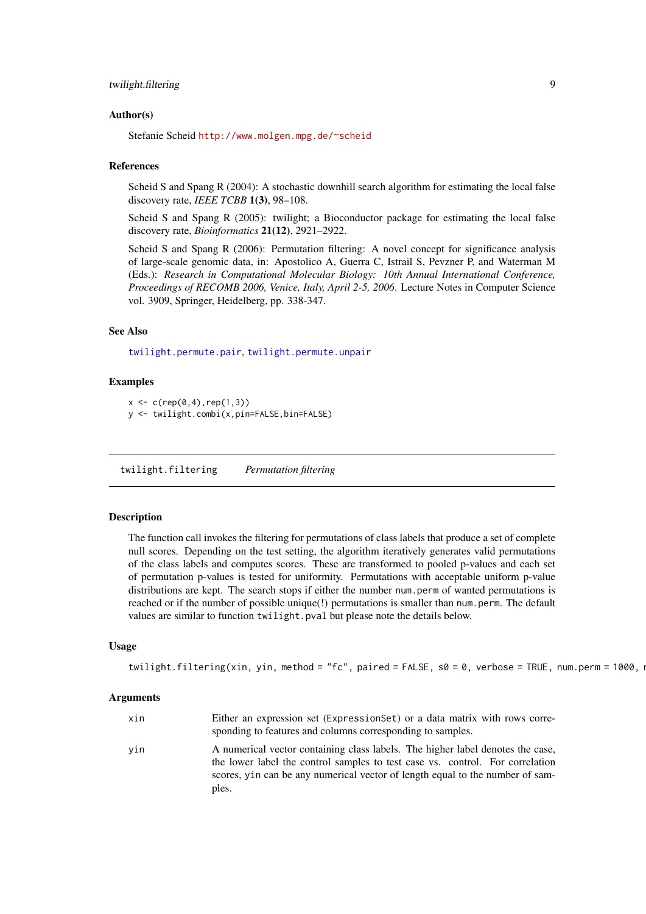#### <span id="page-8-0"></span>twilight.filtering 9

#### Author(s)

Stefanie Scheid <http://www.molgen.mpg.de/~scheid>

#### References

Scheid S and Spang R (2004): A stochastic downhill search algorithm for estimating the local false discovery rate, *IEEE TCBB* 1(3), 98–108.

Scheid S and Spang R (2005): twilight; a Bioconductor package for estimating the local false discovery rate, *Bioinformatics* 21(12), 2921–2922.

Scheid S and Spang R (2006): Permutation filtering: A novel concept for significance analysis of large-scale genomic data, in: Apostolico A, Guerra C, Istrail S, Pevzner P, and Waterman M (Eds.): *Research in Computational Molecular Biology: 10th Annual International Conference, Proceedings of RECOMB 2006, Venice, Italy, April 2-5, 2006*. Lecture Notes in Computer Science vol. 3909, Springer, Heidelberg, pp. 338-347.

# See Also

[twilight.permute.pair](#page-10-1), [twilight.permute.unpair](#page-11-1)

#### Examples

```
x \leq -c(rep(0,4),rep(1,3))
```
y <- twilight.combi(x,pin=FALSE,bin=FALSE)

<span id="page-8-1"></span>twilight.filtering *Permutation filtering*

## Description

The function call invokes the filtering for permutations of class labels that produce a set of complete null scores. Depending on the test setting, the algorithm iteratively generates valid permutations of the class labels and computes scores. These are transformed to pooled p-values and each set of permutation p-values is tested for uniformity. Permutations with acceptable uniform p-value distributions are kept. The search stops if either the number num.perm of wanted permutations is reached or if the number of possible unique(!) permutations is smaller than num.perm. The default values are similar to function twilight.pval but please note the details below.

# Usage

```
twilight.filtering(xin, yin, method = "fc", paired = FALSE, s0 = 0, verbose = TRUE, num.perm = 1000, i
```
#### Arguments

| xin | Either an expression set (Expression Set) or a data matrix with rows corre-<br>sponding to features and columns corresponding to samples.                                                                                                                 |
|-----|-----------------------------------------------------------------------------------------------------------------------------------------------------------------------------------------------------------------------------------------------------------|
| vin | A numerical vector containing class labels. The higher label denotes the case,<br>the lower label the control samples to test case vs. control. For correlation<br>scores, yin can be any numerical vector of length equal to the number of sam-<br>ples. |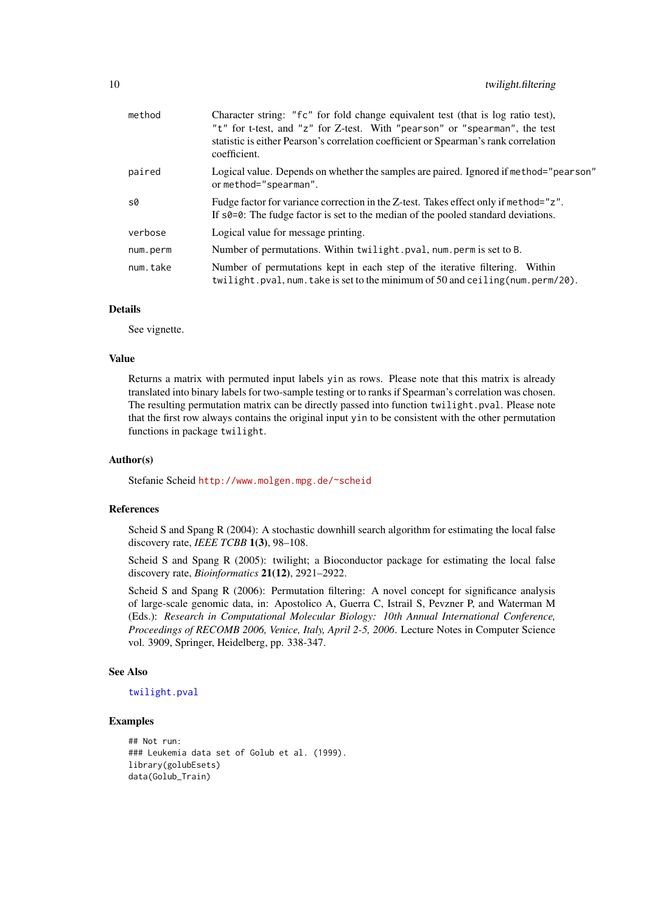<span id="page-9-0"></span>

| method   | Character string: "fc" for fold change equivalent test (that is log ratio test),<br>"t" for t-test, and "z" for Z-test. With "pearson" or "spearman", the test<br>statistic is either Pearson's correlation coefficient or Spearman's rank correlation<br>coefficient. |
|----------|------------------------------------------------------------------------------------------------------------------------------------------------------------------------------------------------------------------------------------------------------------------------|
| paired   | Logical value. Depends on whether the samples are paired. Ignored if method="pearson"<br>or method="spearman".                                                                                                                                                         |
| s0       | Fudge factor for variance correction in the Z-test. Takes effect only if method="z".<br>If $\frac{1}{2}$ s0=0: The fudge factor is set to the median of the pooled standard deviations.                                                                                |
| verbose  | Logical value for message printing.                                                                                                                                                                                                                                    |
| num.perm | Number of permutations. Within twilight.pval, num.perm is set to B.                                                                                                                                                                                                    |
| num.take | Number of permutations kept in each step of the iterative filtering. Within<br>twilight.pval, num.take is set to the minimum of 50 and ceiling (num.perm/20).                                                                                                          |

# Details

See vignette.

#### Value

Returns a matrix with permuted input labels yin as rows. Please note that this matrix is already translated into binary labels for two-sample testing or to ranks if Spearman's correlation was chosen. The resulting permutation matrix can be directly passed into function twilight.pval. Please note that the first row always contains the original input yin to be consistent with the other permutation functions in package twilight.

# Author(s)

Stefanie Scheid <http://www.molgen.mpg.de/~scheid>

#### References

Scheid S and Spang R (2004): A stochastic downhill search algorithm for estimating the local false discovery rate, *IEEE TCBB* 1(3), 98–108.

Scheid S and Spang R (2005): twilight; a Bioconductor package for estimating the local false discovery rate, *Bioinformatics* 21(12), 2921–2922.

Scheid S and Spang R (2006): Permutation filtering: A novel concept for significance analysis of large-scale genomic data, in: Apostolico A, Guerra C, Istrail S, Pevzner P, and Waterman M (Eds.): *Research in Computational Molecular Biology: 10th Annual International Conference, Proceedings of RECOMB 2006, Venice, Italy, April 2-5, 2006*. Lecture Notes in Computer Science vol. 3909, Springer, Heidelberg, pp. 338-347.

# See Also

# [twilight.pval](#page-12-1)

## Examples

```
## Not run:
### Leukemia data set of Golub et al. (1999).
library(golubEsets)
data(Golub_Train)
```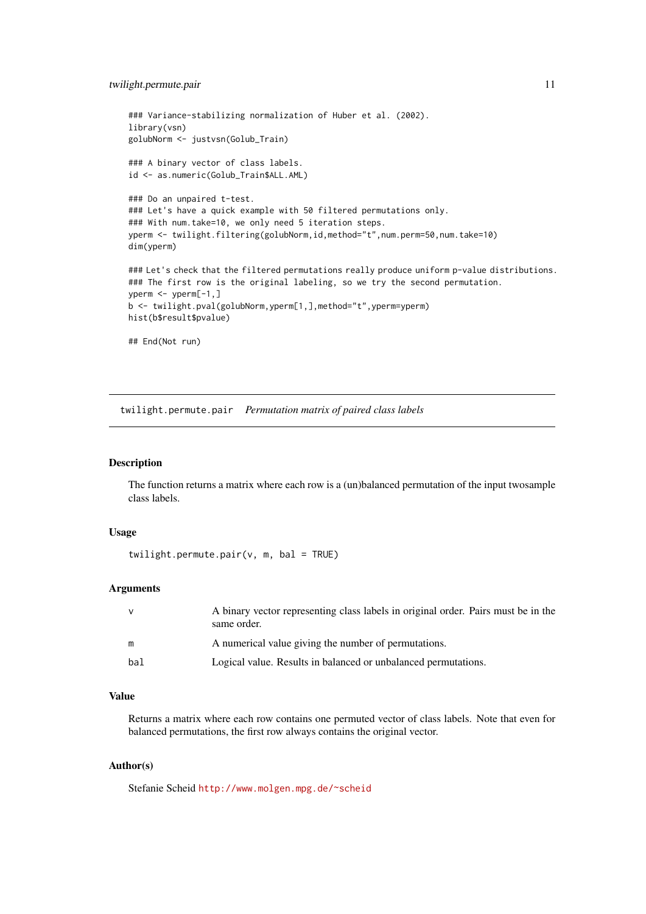#### <span id="page-10-0"></span>twilight.permute.pair 11

```
### Variance-stabilizing normalization of Huber et al. (2002).
library(vsn)
golubNorm <- justvsn(Golub_Train)
### A binary vector of class labels.
id <- as.numeric(Golub_Train$ALL.AML)
### Do an unpaired t-test.
### Let's have a quick example with 50 filtered permutations only.
### With num.take=10, we only need 5 iteration steps.
yperm <- twilight.filtering(golubNorm,id,method="t",num.perm=50,num.take=10)
dim(yperm)
### Let's check that the filtered permutations really produce uniform p-value distributions.
### The first row is the original labeling, so we try the second permutation.
yperm <- yperm[-1,]
b <- twilight.pval(golubNorm,yperm[1,],method="t",yperm=yperm)
hist(b$result$pvalue)
## End(Not run)
```
<span id="page-10-1"></span>twilight.permute.pair *Permutation matrix of paired class labels*

#### Description

The function returns a matrix where each row is a (un)balanced permutation of the input twosample class labels.

# Usage

twilight.permute.pair(v, m, bal = TRUE)

# Arguments

|     | A binary vector representing class labels in original order. Pairs must be in the<br>same order. |
|-----|--------------------------------------------------------------------------------------------------|
| m   | A numerical value giving the number of permutations.                                             |
| bal | Logical value. Results in balanced or unbalanced permutations.                                   |

# Value

Returns a matrix where each row contains one permuted vector of class labels. Note that even for balanced permutations, the first row always contains the original vector.

# Author(s)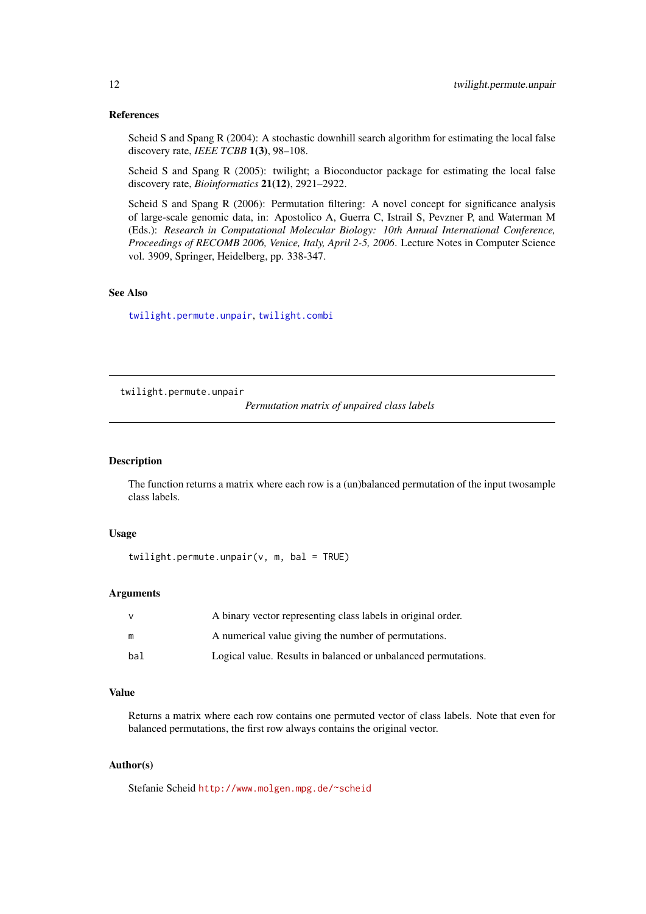#### References

Scheid S and Spang R (2004): A stochastic downhill search algorithm for estimating the local false discovery rate, *IEEE TCBB* 1(3), 98–108.

Scheid S and Spang R (2005): twilight; a Bioconductor package for estimating the local false discovery rate, *Bioinformatics* 21(12), 2921–2922.

Scheid S and Spang R (2006): Permutation filtering: A novel concept for significance analysis of large-scale genomic data, in: Apostolico A, Guerra C, Istrail S, Pevzner P, and Waterman M (Eds.): *Research in Computational Molecular Biology: 10th Annual International Conference, Proceedings of RECOMB 2006, Venice, Italy, April 2-5, 2006*. Lecture Notes in Computer Science vol. 3909, Springer, Heidelberg, pp. 338-347.

# See Also

[twilight.permute.unpair](#page-11-1), [twilight.combi](#page-7-1)

<span id="page-11-1"></span>twilight.permute.unpair

*Permutation matrix of unpaired class labels*

# Description

The function returns a matrix where each row is a (un)balanced permutation of the input twosample class labels.

# Usage

twilight.permute.unpair( $v$ , m, bal = TRUE)

#### Arguments

| v   | A binary vector representing class labels in original order.   |
|-----|----------------------------------------------------------------|
| m   | A numerical value giving the number of permutations.           |
| bal | Logical value. Results in balanced or unbalanced permutations. |

# Value

Returns a matrix where each row contains one permuted vector of class labels. Note that even for balanced permutations, the first row always contains the original vector.

# Author(s)

<span id="page-11-0"></span>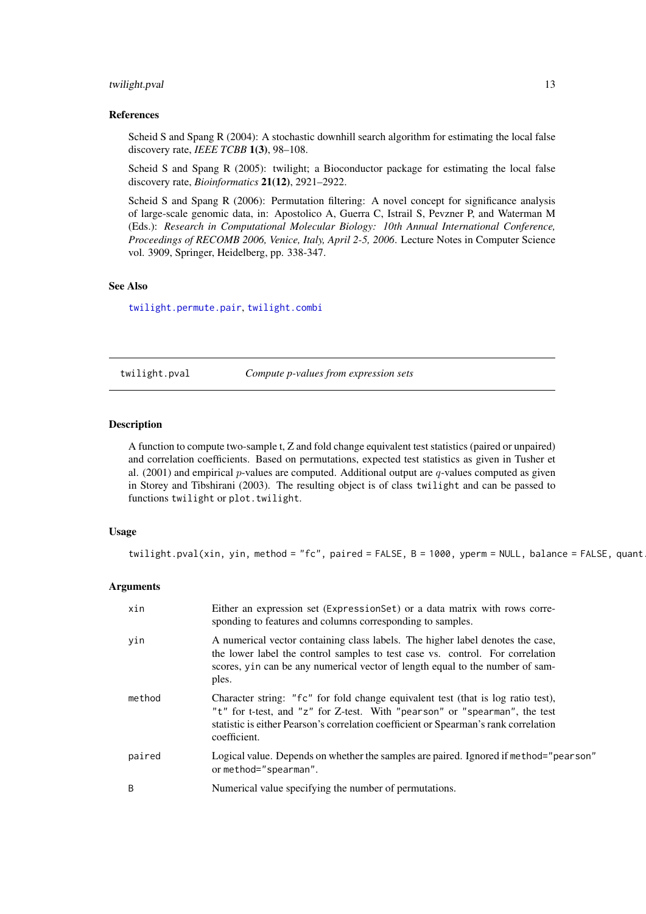#### <span id="page-12-0"></span>twilight.pval 13

#### References

Scheid S and Spang R (2004): A stochastic downhill search algorithm for estimating the local false discovery rate, *IEEE TCBB* 1(3), 98–108.

Scheid S and Spang R (2005): twilight; a Bioconductor package for estimating the local false discovery rate, *Bioinformatics* 21(12), 2921–2922.

Scheid S and Spang R (2006): Permutation filtering: A novel concept for significance analysis of large-scale genomic data, in: Apostolico A, Guerra C, Istrail S, Pevzner P, and Waterman M (Eds.): *Research in Computational Molecular Biology: 10th Annual International Conference, Proceedings of RECOMB 2006, Venice, Italy, April 2-5, 2006*. Lecture Notes in Computer Science vol. 3909, Springer, Heidelberg, pp. 338-347.

#### See Also

[twilight.permute.pair](#page-10-1), [twilight.combi](#page-7-1)

<span id="page-12-1"></span>twilight.pval *Compute p-values from expression sets*

# Description

A function to compute two-sample t, Z and fold change equivalent test statistics (paired or unpaired) and correlation coefficients. Based on permutations, expected test statistics as given in Tusher et al. (2001) and empirical p-values are computed. Additional output are  $q$ -values computed as given in Storey and Tibshirani (2003). The resulting object is of class twilight and can be passed to functions twilight or plot.twilight.

#### Usage

twilight.pval(xin, yin, method = "fc", paired = FALSE, B = 1000, yperm = NULL, balance = FALSE, quant

#### Arguments

| xin    | Either an expression set (Expression Set) or a data matrix with rows corre-<br>sponding to features and columns corresponding to samples.                                                                                                                              |
|--------|------------------------------------------------------------------------------------------------------------------------------------------------------------------------------------------------------------------------------------------------------------------------|
| yin    | A numerical vector containing class labels. The higher label denotes the case,<br>the lower label the control samples to test case vs. control. For correlation<br>scores, yin can be any numerical vector of length equal to the number of sam-<br>ples.              |
| method | Character string: "fc" for fold change equivalent test (that is log ratio test),<br>"t" for t-test, and "z" for Z-test. With "pearson" or "spearman", the test<br>statistic is either Pearson's correlation coefficient or Spearman's rank correlation<br>coefficient. |
| paired | Logical value. Depends on whether the samples are paired. Ignored if method="pearson"<br>or method="spearman".                                                                                                                                                         |
| B      | Numerical value specifying the number of permutations.                                                                                                                                                                                                                 |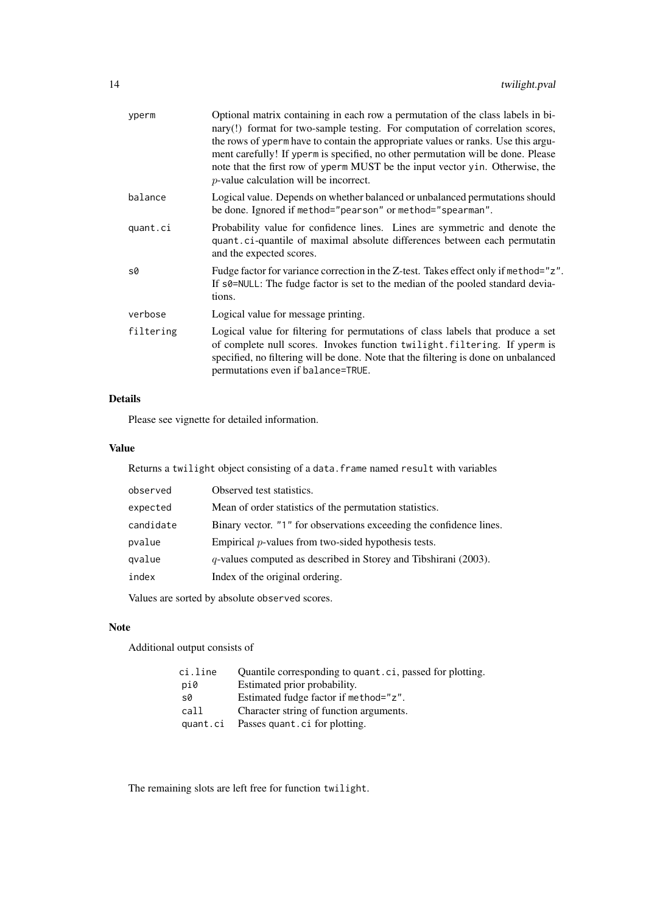| yperm     | Optional matrix containing in each row a permutation of the class labels in bi-<br>nary(!) format for two-sample testing. For computation of correlation scores,<br>the rows of yperm have to contain the appropriate values or ranks. Use this argu-<br>ment carefully! If yperm is specified, no other permutation will be done. Please<br>note that the first row of yperm MUST be the input vector yin. Otherwise, the<br>$p$ -value calculation will be incorrect. |
|-----------|-------------------------------------------------------------------------------------------------------------------------------------------------------------------------------------------------------------------------------------------------------------------------------------------------------------------------------------------------------------------------------------------------------------------------------------------------------------------------|
| balance   | Logical value. Depends on whether balanced or unbalanced permutations should<br>be done. Ignored if method="pearson" or method="spearman".                                                                                                                                                                                                                                                                                                                              |
| quant.ci  | Probability value for confidence lines. Lines are symmetric and denote the<br>quant.ci-quantile of maximal absolute differences between each permutatin<br>and the expected scores.                                                                                                                                                                                                                                                                                     |
| s0        | Fudge factor for variance correction in the Z-test. Takes effect only if method="z".<br>If s0=NULL: The fudge factor is set to the median of the pooled standard devia-<br>tions.                                                                                                                                                                                                                                                                                       |
| verbose   | Logical value for message printing.                                                                                                                                                                                                                                                                                                                                                                                                                                     |
| filtering | Logical value for filtering for permutations of class labels that produce a set<br>of complete null scores. Invokes function twilight. filtering. If yperm is<br>specified, no filtering will be done. Note that the filtering is done on unbalanced<br>permutations even if balance=TRUE.                                                                                                                                                                              |
|           |                                                                                                                                                                                                                                                                                                                                                                                                                                                                         |

# Details

Please see vignette for detailed information.

# Value

Returns a twilight object consisting of a data.frame named result with variables

| observed  | Observed test statistics.                                           |
|-----------|---------------------------------------------------------------------|
| expected  | Mean of order statistics of the permutation statistics.             |
| candidate | Binary vector. "1" for observations exceeding the confidence lines. |
| pvalue    | Empirical $p$ -values from two-sided hypothesis tests.              |
| qvalue    | $q$ -values computed as described in Storey and Tibshirani (2003).  |
| index     | Index of the original ordering.                                     |
|           |                                                                     |

Values are sorted by absolute observed scores.

# Note

Additional output consists of

| ci.line  | Quantile corresponding to quant.ci, passed for plotting. |
|----------|----------------------------------------------------------|
| pi0      | Estimated prior probability.                             |
| s0       | Estimated fudge factor if method="z".                    |
| call     | Character string of function arguments.                  |
| quant.ci | Passes quant . ci for plotting.                          |

The remaining slots are left free for function twilight.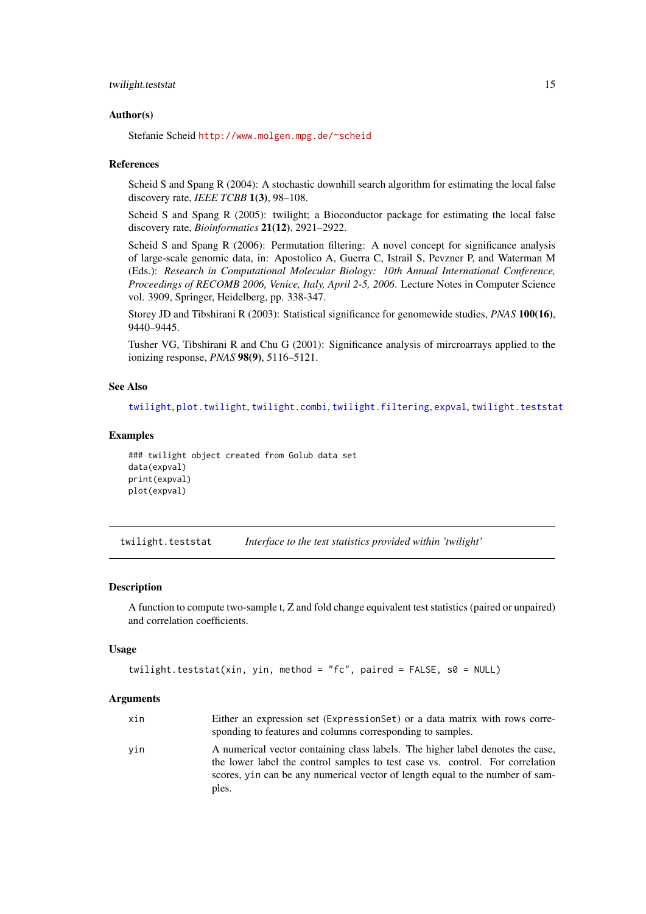#### <span id="page-14-0"></span>twilight.teststat 15

#### Author(s)

Stefanie Scheid <http://www.molgen.mpg.de/~scheid>

#### References

Scheid S and Spang R (2004): A stochastic downhill search algorithm for estimating the local false discovery rate, *IEEE TCBB* 1(3), 98–108.

Scheid S and Spang R (2005): twilight; a Bioconductor package for estimating the local false discovery rate, *Bioinformatics* 21(12), 2921–2922.

Scheid S and Spang R (2006): Permutation filtering: A novel concept for significance analysis of large-scale genomic data, in: Apostolico A, Guerra C, Istrail S, Pevzner P, and Waterman M (Eds.): *Research in Computational Molecular Biology: 10th Annual International Conference, Proceedings of RECOMB 2006, Venice, Italy, April 2-5, 2006*. Lecture Notes in Computer Science vol. 3909, Springer, Heidelberg, pp. 338-347.

Storey JD and Tibshirani R (2003): Statistical significance for genomewide studies, *PNAS* 100(16), 9440–9445.

Tusher VG, Tibshirani R and Chu G (2001): Significance analysis of mircroarrays applied to the ionizing response, *PNAS* 98(9), 5116–5121.

## See Also

[twilight](#page-5-1), [plot.twilight](#page-3-1), [twilight.combi](#page-7-1), [twilight.filtering](#page-8-1), [expval](#page-2-1), [twilight.teststat](#page-14-1)

### Examples

```
### twilight object created from Golub data set
data(expval)
print(expval)
plot(expval)
```
<span id="page-14-1"></span>twilight.teststat *Interface to the test statistics provided within 'twilight'*

#### Description

A function to compute two-sample t, Z and fold change equivalent test statistics (paired or unpaired) and correlation coefficients.

#### Usage

```
twilight.teststat(xin, yin, method = "fc", paired = FALSE, s0 = NULL)
```
#### Arguments

| xin | Either an expression set (Expression Set) or a data matrix with rows corre- |
|-----|-----------------------------------------------------------------------------|
|     | sponding to features and columns corresponding to samples.                  |

yin A numerical vector containing class labels. The higher label denotes the case, the lower label the control samples to test case vs. control. For correlation scores, yin can be any numerical vector of length equal to the number of samples.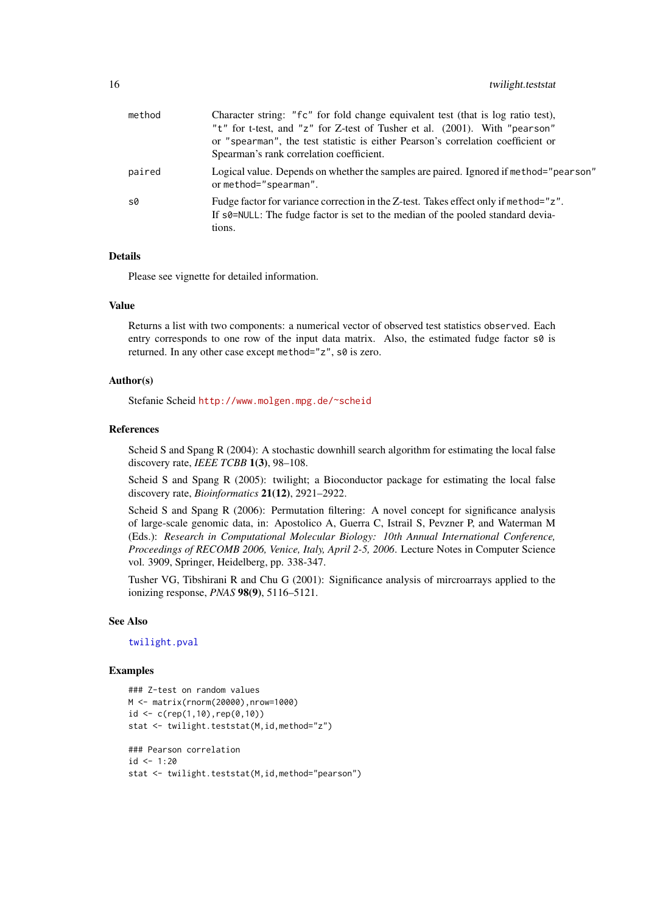<span id="page-15-0"></span>

| method | Character string: "fc" for fold change equivalent test (that is log ratio test),<br>"t" for t-test, and "z" for Z-test of Tusher et al. (2001). With "pearson"<br>or "spearman", the test statistic is either Pearson's correlation coefficient or<br>Spearman's rank correlation coefficient. |
|--------|------------------------------------------------------------------------------------------------------------------------------------------------------------------------------------------------------------------------------------------------------------------------------------------------|
| paired | Logical value. Depends on whether the samples are paired. Ignored if method="pearson"<br>or method="spearman".                                                                                                                                                                                 |
| s0     | Fudge factor for variance correction in the Z-test. Takes effect only if method="z".<br>If s0=NULL: The fudge factor is set to the median of the pooled standard devia-<br>tions.                                                                                                              |

# Details

Please see vignette for detailed information.

# Value

Returns a list with two components: a numerical vector of observed test statistics observed. Each entry corresponds to one row of the input data matrix. Also, the estimated fudge factor  $s\varnothing$  is returned. In any other case except method="z", s0 is zero.

# Author(s)

Stefanie Scheid <http://www.molgen.mpg.de/~scheid>

#### References

Scheid S and Spang R (2004): A stochastic downhill search algorithm for estimating the local false discovery rate, *IEEE TCBB* 1(3), 98–108.

Scheid S and Spang R (2005): twilight; a Bioconductor package for estimating the local false discovery rate, *Bioinformatics* 21(12), 2921–2922.

Scheid S and Spang R (2006): Permutation filtering: A novel concept for significance analysis of large-scale genomic data, in: Apostolico A, Guerra C, Istrail S, Pevzner P, and Waterman M (Eds.): *Research in Computational Molecular Biology: 10th Annual International Conference, Proceedings of RECOMB 2006, Venice, Italy, April 2-5, 2006*. Lecture Notes in Computer Science vol. 3909, Springer, Heidelberg, pp. 338-347.

Tusher VG, Tibshirani R and Chu G (2001): Significance analysis of mircroarrays applied to the ionizing response, *PNAS* 98(9), 5116–5121.

#### See Also

[twilight.pval](#page-12-1)

# Examples

```
### Z-test on random values
M <- matrix(rnorm(20000),nrow=1000)
id <- c(rep(1,10),rep(0,10))
stat <- twilight.teststat(M,id,method="z")
### Pearson correlation
id < -1:20
```